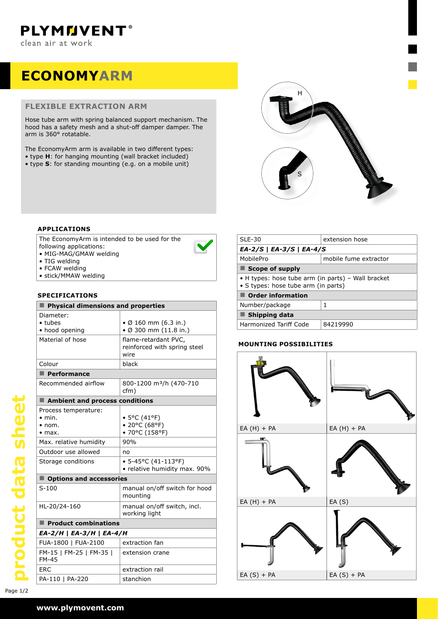# **ECONOMYARM**

# **flexible extraction arm**

Hose tube arm with spring balanced support mechanism. The hood has a safety mesh and a shut-off damper damper. The arm is 360° rotatable.

The EconomyArm arm is available in two different types:

- • type **H**: for hanging mounting (wall bracket included)
- • type **S**: for standing mounting (e.g. on a mobile unit)



# **applications**

The EconomyArm is intended to be used for the following applications:

- MIG-MAG/GMAW welding
- TIG welding
- FCAW welding
- stick/MMAW welding

# **specifications**

| Physical dimensions and properties      |                                                                 |  |  |
|-----------------------------------------|-----------------------------------------------------------------|--|--|
| Diameter:                               |                                                                 |  |  |
| $\bullet$ tubes<br>• hood opening       | • $\emptyset$ 160 mm (6.3 in.)<br>$\bullet$ Ø 300 mm (11.8 in.) |  |  |
| Material of hose                        | flame-retardant PVC.<br>reinforced with spring steel<br>wire    |  |  |
| Colour                                  | black                                                           |  |  |
| $\blacksquare$ Performance              |                                                                 |  |  |
| Recommended airflow                     | 800-1200 m <sup>3</sup> /h (470-710<br>cfm)                     |  |  |
| Ambient and process conditions          |                                                                 |  |  |
| Process temperature:<br>$\bullet$ min.  |                                                                 |  |  |
| $\bullet$ nom.                          | • 5°C (41°F)<br>• 20°C (68°F)                                   |  |  |
| $\bullet$ max.                          | • 70°C (158°F)                                                  |  |  |
| Max. relative humidity                  | 90%                                                             |  |  |
| Outdoor use allowed                     | no                                                              |  |  |
| Storage conditions                      | $\bullet$ 5-45°C (41-113°F)<br>• relative humidity max. 90%     |  |  |
| ■ Options and accessories               |                                                                 |  |  |
| $S-100$                                 | manual on/off switch for hood<br>mounting                       |  |  |
| HL-20/24-160                            | manual on/off switch, incl.<br>working light                    |  |  |
| $\blacksquare$ Product combinations     |                                                                 |  |  |
| EA-2/H   EA-3/H   EA-4/H                |                                                                 |  |  |
| FUA-1800   FUA-2100                     | extraction fan                                                  |  |  |
| FM-15   FM-25   FM-35  <br><b>FM-45</b> | extension crane                                                 |  |  |
| FRC.                                    | extraction rail                                                 |  |  |
| PA-110   PA-220                         | stanchion                                                       |  |  |

| $SLE-30$                                                                                  | extension hose |  |  |  |
|-------------------------------------------------------------------------------------------|----------------|--|--|--|
| $EA-2/S   EA-3/S   EA-4/S$                                                                |                |  |  |  |
| MobilePro<br>mobile fume extractor                                                        |                |  |  |  |
| $\blacksquare$ Scope of supply                                                            |                |  |  |  |
| • H types: hose tube arm (in parts) - Wall bracket<br>• S types: hose tube arm (in parts) |                |  |  |  |
| <b>Order information</b>                                                                  |                |  |  |  |
| Number/package                                                                            | 1              |  |  |  |
| Shipping data                                                                             |                |  |  |  |
| Harmonized Tariff Code                                                                    | 84219990       |  |  |  |

# **Mounting possibilities**



### **www.plymovent.com**